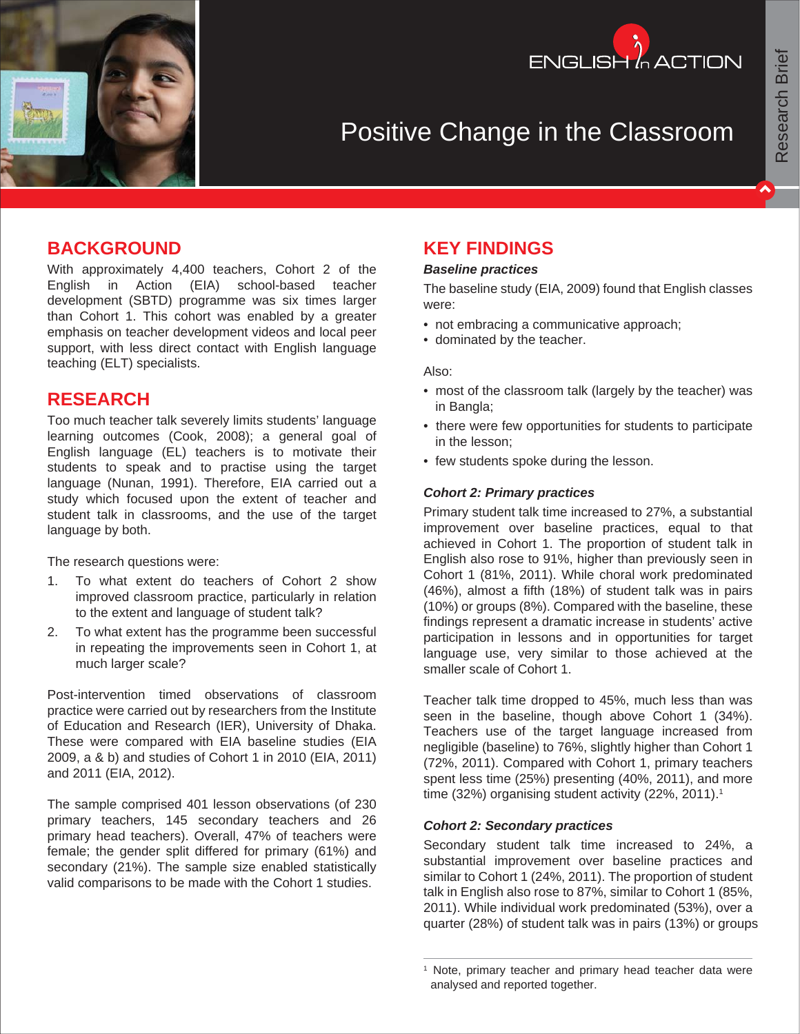



# Positive Change in the Classroom

# **BACKGROUND**

With approximately 4,400 teachers, Cohort 2 of the English in Action (EIA) school-based teacher development (SBTD) programme was six times larger than Cohort 1. This cohort was enabled by a greater emphasis on teacher development videos and local peer support, with less direct contact with English language teaching (ELT) specialists.

# **RESEARCH**

Too much teacher talk severely limits students' language learning outcomes (Cook, 2008); a general goal of English language (EL) teachers is to motivate their students to speak and to practise using the target language (Nunan, 1991). Therefore, EIA carried out a study which focused upon the extent of teacher and student talk in classrooms, and the use of the target language by both.

The research questions were:

- 1. To what extent do teachers of Cohort 2 show improved classroom practice, particularly in relation to the extent and language of student talk?
- 2. To what extent has the programme been successful in repeating the improvements seen in Cohort 1, at much larger scale?

Post-intervention timed observations of classroom practice were carried out by researchers from the Institute of Education and Research (IER), University of Dhaka. These were compared with EIA baseline studies (EIA 2009, a & b) and studies of Cohort 1 in 2010 (EIA, 2011) and 2011 (EIA, 2012).

The sample comprised 401 lesson observations (of 230 primary teachers, 145 secondary teachers and 26 primary head teachers). Overall, 47% of teachers were female; the gender split differed for primary (61%) and secondary (21%). The sample size enabled statistically valid comparisons to be made with the Cohort 1 studies.

# **KEY FINDINGS**

#### *Baseline practices*

The baseline study (EIA, 2009) found that English classes were:

- not embracing a communicative approach;
- dominated by the teacher.

#### Also:

- most of the classroom talk (largely by the teacher) was in Bangla;
- there were few opportunities for students to participate in the lesson;
- few students spoke during the lesson.

#### *Cohort 2: Primary practices*

Primary student talk time increased to 27%, a substantial improvement over baseline practices, equal to that achieved in Cohort 1. The proportion of student talk in English also rose to 91%, higher than previously seen in Cohort 1 (81%, 2011). While choral work predominated (46%), almost a fifth (18%) of student talk was in pairs (10%) or groups (8%). Compared with the baseline, these findings represent a dramatic increase in students' active participation in lessons and in opportunities for target language use, very similar to those achieved at the smaller scale of Cohort 1.

Teacher talk time dropped to 45%, much less than was seen in the baseline, though above Cohort 1 (34%). Teachers use of the target language increased from negligible (baseline) to 76%, slightly higher than Cohort 1 (72%, 2011). Compared with Cohort 1, primary teachers spent less time (25%) presenting (40%, 2011), and more time (32%) organising student activity (22%, 2011).<sup>1</sup>

#### *Cohort 2: Secondary practices*

Secondary student talk time increased to 24%, a substantial improvement over baseline practices and similar to Cohort 1 (24%, 2011). The proportion of student talk in English also rose to 87%, similar to Cohort 1 (85%, 2011). While individual work predominated (53%), over a quarter (28%) of student talk was in pairs (13%) or groups

<sup>1</sup> Note, primary teacher and primary head teacher data were analysed and reported together.